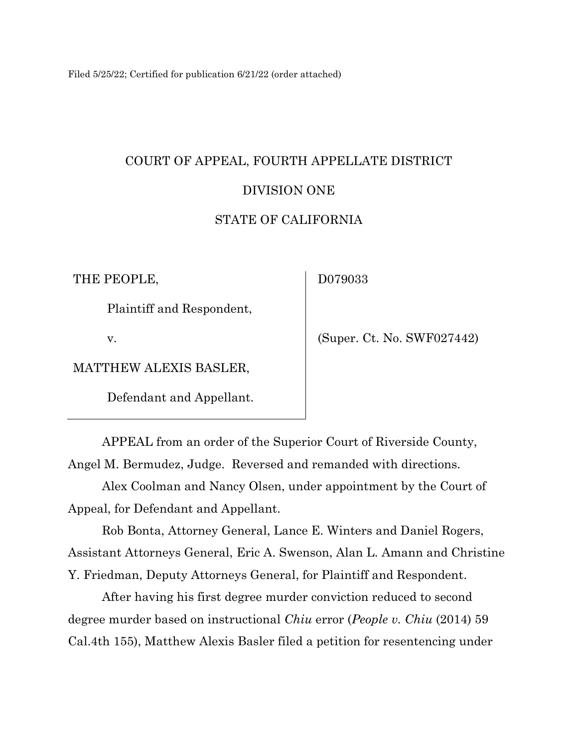Filed 5/25/22; Certified for publication 6/21/22 (order attached)

# COURT OF APPEAL, FOURTH APPELLATE DISTRICT DIVISION ONE

# STATE OF CALIFORNIA

THE PEOPLE,

D079033

Plaintiff and Respondent,

v.

(Super. Ct. No. SWF027442)

MATTHEW ALEXIS BASLER,

Defendant and Appellant.

APPEAL from an order of the Superior Court of Riverside County, Angel M. Bermudez, Judge. Reversed and remanded with directions.

Alex Coolman and Nancy Olsen, under appointment by the Court of Appeal, for Defendant and Appellant.

Rob Bonta, Attorney General, Lance E. Winters and Daniel Rogers, Assistant Attorneys General, Eric A. Swenson, Alan L. Amann and Christine Y. Friedman, Deputy Attorneys General, for Plaintiff and Respondent.

After having his first degree murder conviction reduced to second degree murder based on instructional *Chiu* error (*People v. Chiu* (2014) 59 Cal.4th 155), Matthew Alexis Basler filed a petition for resentencing under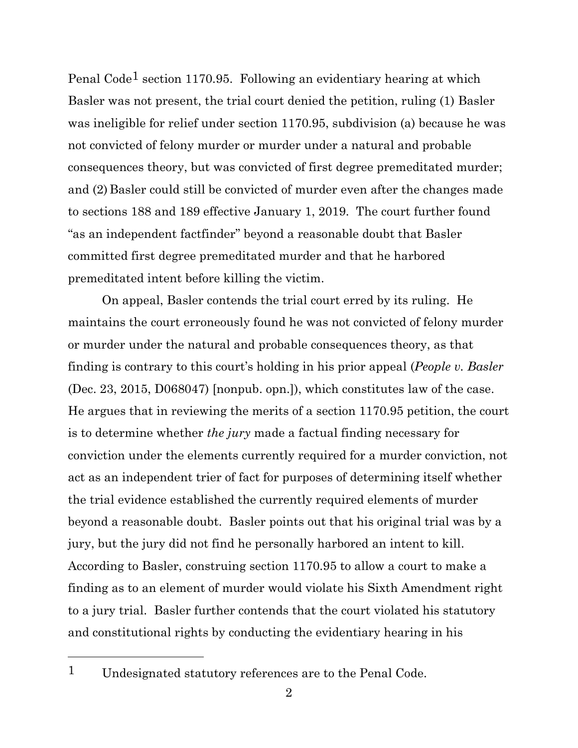Penal Code1 section 1170.95. Following an evidentiary hearing at which Basler was not present, the trial court denied the petition, ruling (1) Basler was ineligible for relief under section 1170.95, subdivision (a) because he was not convicted of felony murder or murder under a natural and probable consequences theory, but was convicted of first degree premeditated murder; and (2) Basler could still be convicted of murder even after the changes made to sections 188 and 189 effective January 1, 2019. The court further found "as an independent factfinder" beyond a reasonable doubt that Basler committed first degree premeditated murder and that he harbored premeditated intent before killing the victim.

On appeal, Basler contends the trial court erred by its ruling. He maintains the court erroneously found he was not convicted of felony murder or murder under the natural and probable consequences theory, as that finding is contrary to this court's holding in his prior appeal (*People v. Basler* (Dec. 23, 2015, D068047) [nonpub. opn.]), which constitutes law of the case. He argues that in reviewing the merits of a section 1170.95 petition, the court is to determine whether *the jury* made a factual finding necessary for conviction under the elements currently required for a murder conviction, not act as an independent trier of fact for purposes of determining itself whether the trial evidence established the currently required elements of murder beyond a reasonable doubt. Basler points out that his original trial was by a jury, but the jury did not find he personally harbored an intent to kill. According to Basler, construing section 1170.95 to allow a court to make a finding as to an element of murder would violate his Sixth Amendment right to a jury trial. Basler further contends that the court violated his statutory and constitutional rights by conducting the evidentiary hearing in his

1 Undesignated statutory references are to the Penal Code.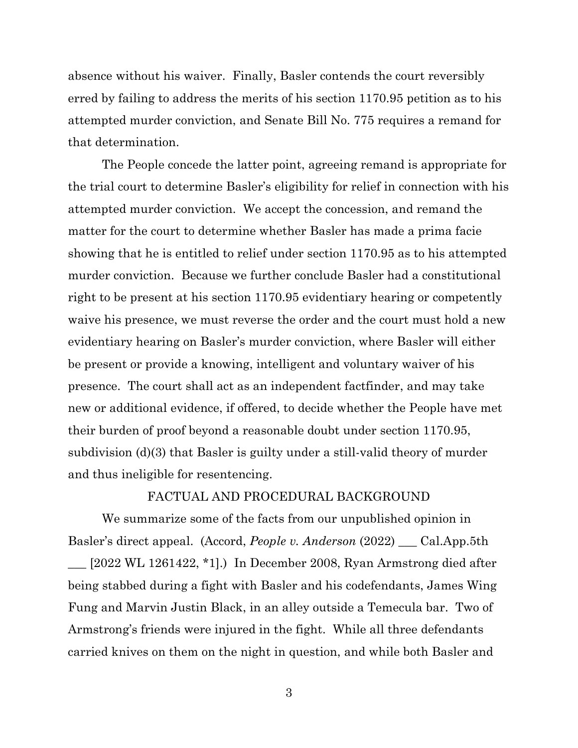absence without his waiver. Finally, Basler contends the court reversibly erred by failing to address the merits of his section 1170.95 petition as to his attempted murder conviction, and Senate Bill No. 775 requires a remand for that determination.

The People concede the latter point, agreeing remand is appropriate for the trial court to determine Basler's eligibility for relief in connection with his attempted murder conviction. We accept the concession, and remand the matter for the court to determine whether Basler has made a prima facie showing that he is entitled to relief under section 1170.95 as to his attempted murder conviction. Because we further conclude Basler had a constitutional right to be present at his section 1170.95 evidentiary hearing or competently waive his presence, we must reverse the order and the court must hold a new evidentiary hearing on Basler's murder conviction, where Basler will either be present or provide a knowing, intelligent and voluntary waiver of his presence. The court shall act as an independent factfinder, and may take new or additional evidence, if offered, to decide whether the People have met their burden of proof beyond a reasonable doubt under section 1170.95, subdivision (d)(3) that Basler is guilty under a still-valid theory of murder and thus ineligible for resentencing.

#### FACTUAL AND PROCEDURAL BACKGROUND

We summarize some of the facts from our unpublished opinion in Basler's direct appeal. (Accord, *People v. Anderson* (2022) \_\_\_ Cal.App.5th  $\mu$  [2022 WL 1261422, \*1].) In December 2008, Ryan Armstrong died after being stabbed during a fight with Basler and his codefendants, James Wing Fung and Marvin Justin Black, in an alley outside a Temecula bar. Two of Armstrong's friends were injured in the fight. While all three defendants carried knives on them on the night in question, and while both Basler and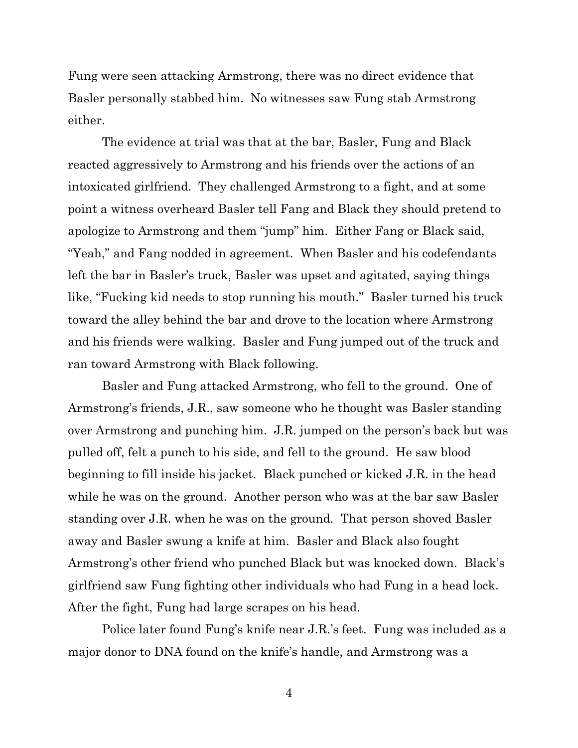Fung were seen attacking Armstrong, there was no direct evidence that Basler personally stabbed him. No witnesses saw Fung stab Armstrong either.

The evidence at trial was that at the bar, Basler, Fung and Black reacted aggressively to Armstrong and his friends over the actions of an intoxicated girlfriend. They challenged Armstrong to a fight, and at some point a witness overheard Basler tell Fang and Black they should pretend to apologize to Armstrong and them "jump" him. Either Fang or Black said, "Yeah," and Fang nodded in agreement. When Basler and his codefendants left the bar in Basler's truck, Basler was upset and agitated, saying things like, "Fucking kid needs to stop running his mouth." Basler turned his truck toward the alley behind the bar and drove to the location where Armstrong and his friends were walking. Basler and Fung jumped out of the truck and ran toward Armstrong with Black following.

Basler and Fung attacked Armstrong, who fell to the ground. One of Armstrong's friends, J.R., saw someone who he thought was Basler standing over Armstrong and punching him. J.R. jumped on the person's back but was pulled off, felt a punch to his side, and fell to the ground. He saw blood beginning to fill inside his jacket. Black punched or kicked J.R. in the head while he was on the ground. Another person who was at the bar saw Basler standing over J.R. when he was on the ground. That person shoved Basler away and Basler swung a knife at him. Basler and Black also fought Armstrong's other friend who punched Black but was knocked down. Black's girlfriend saw Fung fighting other individuals who had Fung in a head lock. After the fight, Fung had large scrapes on his head.

Police later found Fung's knife near J.R.'s feet. Fung was included as a major donor to DNA found on the knife's handle, and Armstrong was a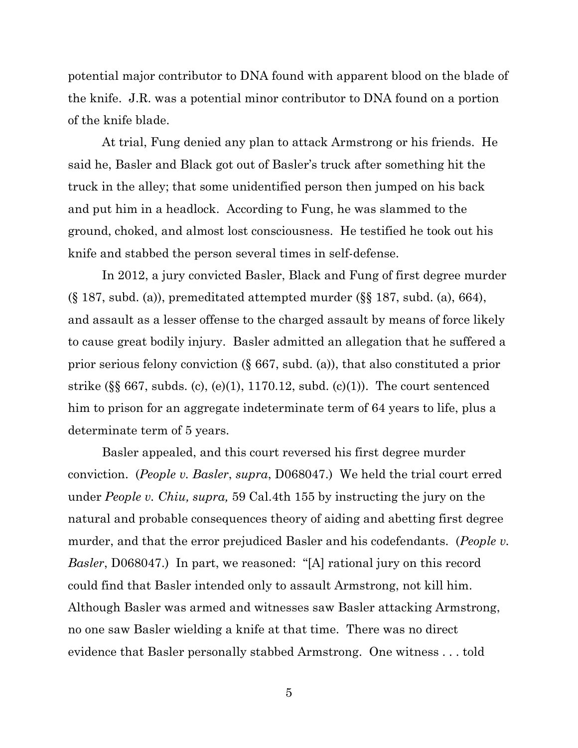potential major contributor to DNA found with apparent blood on the blade of the knife. J.R. was a potential minor contributor to DNA found on a portion of the knife blade.

At trial, Fung denied any plan to attack Armstrong or his friends. He said he, Basler and Black got out of Basler's truck after something hit the truck in the alley; that some unidentified person then jumped on his back and put him in a headlock. According to Fung, he was slammed to the ground, choked, and almost lost consciousness. He testified he took out his knife and stabbed the person several times in self-defense.

In 2012, a jury convicted Basler, Black and Fung of first degree murder (§ 187, subd. (a)), premeditated attempted murder (§§ 187, subd. (a), 664), and assault as a lesser offense to the charged assault by means of force likely to cause great bodily injury. Basler admitted an allegation that he suffered a prior serious felony conviction (§ 667, subd. (a)), that also constituted a prior strike  $(\S\$  667, subds. (c), (e)(1), 1170.12, subd. (c)(1)). The court sentenced him to prison for an aggregate indeterminate term of 64 years to life, plus a determinate term of 5 years.

Basler appealed, and this court reversed his first degree murder conviction. (*People v. Basler*, *supra*, D068047.) We held the trial court erred under *People v. Chiu, supra,* 59 Cal.4th 155 by instructing the jury on the natural and probable consequences theory of aiding and abetting first degree murder, and that the error prejudiced Basler and his codefendants. (*People v. Basler*, D068047.) In part, we reasoned: "[A] rational jury on this record could find that Basler intended only to assault Armstrong, not kill him. Although Basler was armed and witnesses saw Basler attacking Armstrong, no one saw Basler wielding a knife at that time. There was no direct evidence that Basler personally stabbed Armstrong. One witness . . . told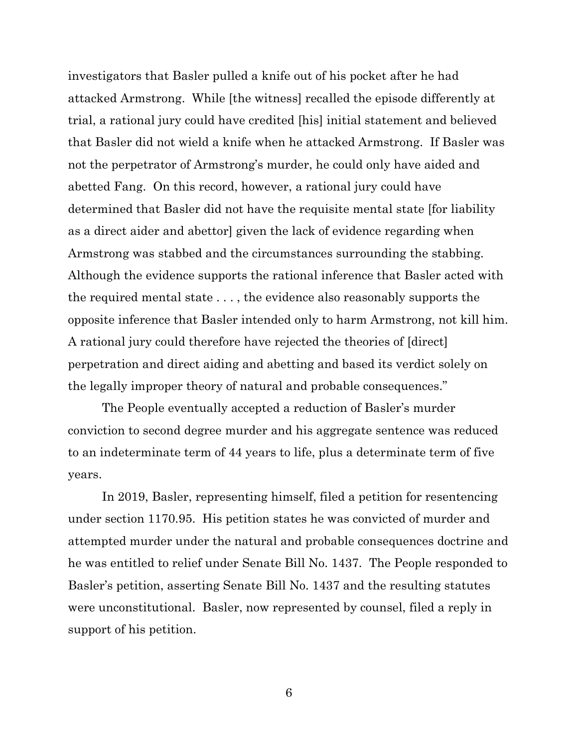investigators that Basler pulled a knife out of his pocket after he had attacked Armstrong. While [the witness] recalled the episode differently at trial, a rational jury could have credited [his] initial statement and believed that Basler did not wield a knife when he attacked Armstrong. If Basler was not the perpetrator of Armstrong's murder, he could only have aided and abetted Fang. On this record, however, a rational jury could have determined that Basler did not have the requisite mental state [for liability as a direct aider and abettor] given the lack of evidence regarding when Armstrong was stabbed and the circumstances surrounding the stabbing. Although the evidence supports the rational inference that Basler acted with the required mental state . . . , the evidence also reasonably supports the opposite inference that Basler intended only to harm Armstrong, not kill him. A rational jury could therefore have rejected the theories of [direct] perpetration and direct aiding and abetting and based its verdict solely on the legally improper theory of natural and probable consequences."

The People eventually accepted a reduction of Basler's murder conviction to second degree murder and his aggregate sentence was reduced to an indeterminate term of 44 years to life, plus a determinate term of five years.

In 2019, Basler, representing himself, filed a petition for resentencing under section 1170.95. His petition states he was convicted of murder and attempted murder under the natural and probable consequences doctrine and he was entitled to relief under Senate Bill No. 1437. The People responded to Basler's petition, asserting Senate Bill No. 1437 and the resulting statutes were unconstitutional. Basler, now represented by counsel, filed a reply in support of his petition.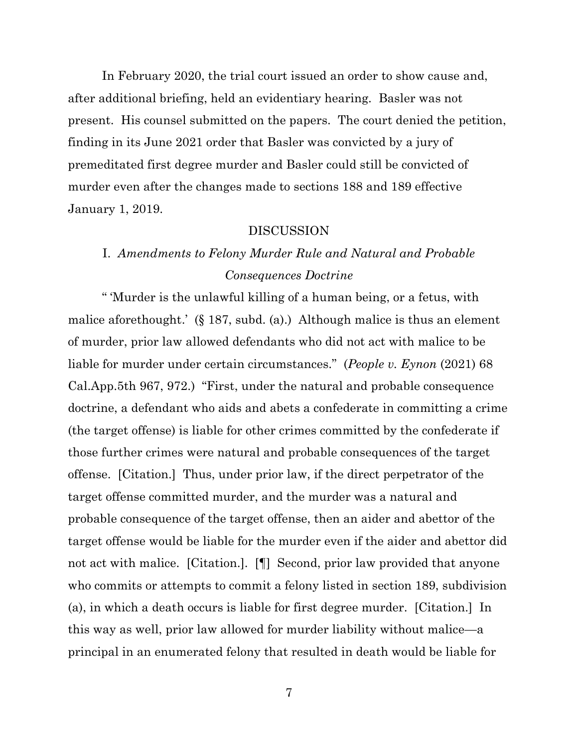In February 2020, the trial court issued an order to show cause and, after additional briefing, held an evidentiary hearing. Basler was not present. His counsel submitted on the papers. The court denied the petition, finding in its June 2021 order that Basler was convicted by a jury of premeditated first degree murder and Basler could still be convicted of murder even after the changes made to sections 188 and 189 effective January 1, 2019.

#### DISCUSSION

# I. *Amendments to Felony Murder Rule and Natural and Probable Consequences Doctrine*

" 'Murder is the unlawful killing of a human being, or a fetus, with malice aforethought.' (§ 187, subd. (a).) Although malice is thus an element of murder, prior law allowed defendants who did not act with malice to be liable for murder under certain circumstances." (*People v. Eynon* (2021) 68 Cal.App.5th 967, 972.) "First, under the natural and probable consequence doctrine, a defendant who aids and abets a confederate in committing a crime (the target offense) is liable for other crimes committed by the confederate if those further crimes were natural and probable consequences of the target offense. [Citation.] Thus, under prior law, if the direct perpetrator of the target offense committed murder, and the murder was a natural and probable consequence of the target offense, then an aider and abettor of the target offense would be liable for the murder even if the aider and abettor did not act with malice. [Citation.]. [¶] Second, prior law provided that anyone who commits or attempts to commit a felony listed in section 189, subdivision (a), in which a death occurs is liable for first degree murder. [Citation.] In this way as well, prior law allowed for murder liability without malice—a principal in an enumerated felony that resulted in death would be liable for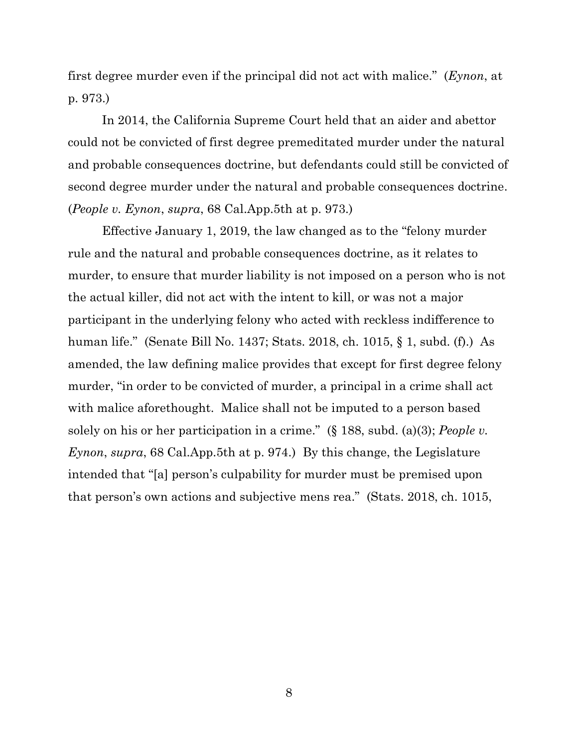first degree murder even if the principal did not act with malice." (*Eynon*, at p. 973.)

In 2014, the California Supreme Court held that an aider and abettor could not be convicted of first degree premeditated murder under the natural and probable consequences doctrine, but defendants could still be convicted of second degree murder under the natural and probable consequences doctrine. (*People v. Eynon*, *supra*, 68 Cal.App.5th at p. 973.)

Effective January 1, 2019, the law changed as to the "felony murder rule and the natural and probable consequences doctrine, as it relates to murder, to ensure that murder liability is not imposed on a person who is not the actual killer, did not act with the intent to kill, or was not a major participant in the underlying felony who acted with reckless indifference to human life." (Senate Bill No. 1437; Stats. 2018, ch. 1015, § 1, subd. (f).) As amended, the law defining malice provides that except for first degree felony murder, "in order to be convicted of murder, a principal in a crime shall act with malice aforethought. Malice shall not be imputed to a person based solely on his or her participation in a crime." (§ 188, subd. (a)(3); *People v. Eynon*, *supra*, 68 Cal.App.5th at p. 974.) By this change, the Legislature intended that "[a] person's culpability for murder must be premised upon that person's own actions and subjective mens rea." (Stats. 2018, ch. 1015,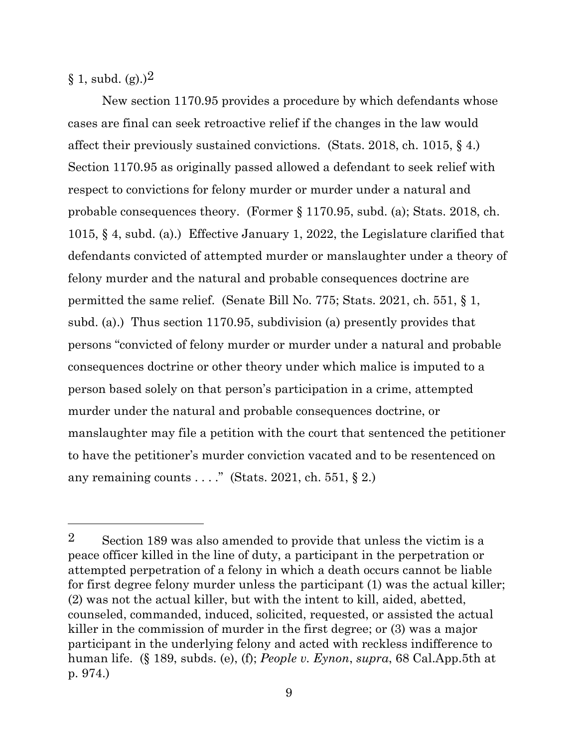$§ 1, subd. (g).$ )<sup>2</sup>

New section 1170.95 provides a procedure by which defendants whose cases are final can seek retroactive relief if the changes in the law would affect their previously sustained convictions. (Stats. 2018, ch. 1015, § 4.) Section 1170.95 as originally passed allowed a defendant to seek relief with respect to convictions for felony murder or murder under a natural and probable consequences theory. (Former § 1170.95, subd. (a); Stats. 2018, ch. 1015, § 4, subd. (a).) Effective January 1, 2022, the Legislature clarified that defendants convicted of attempted murder or manslaughter under a theory of felony murder and the natural and probable consequences doctrine are permitted the same relief. (Senate Bill No. 775; Stats. 2021, ch. 551, § 1, subd. (a).) Thus section 1170.95, subdivision (a) presently provides that persons "convicted of felony murder or murder under a natural and probable consequences doctrine or other theory under which malice is imputed to a person based solely on that person's participation in a crime, attempted murder under the natural and probable consequences doctrine, or manslaughter may file a petition with the court that sentenced the petitioner to have the petitioner's murder conviction vacated and to be resentenced on any remaining counts . . . . " (Stats. 2021, ch. 551,  $\S$  2.)

<sup>2</sup> Section 189 was also amended to provide that unless the victim is a peace officer killed in the line of duty, a participant in the perpetration or attempted perpetration of a felony in which a death occurs cannot be liable for first degree felony murder unless the participant (1) was the actual killer; (2) was not the actual killer, but with the intent to kill, aided, abetted, counseled, commanded, induced, solicited, requested, or assisted the actual killer in the commission of murder in the first degree; or (3) was a major participant in the underlying felony and acted with reckless indifference to human life. (§ 189, subds. (e), (f); *People v. Eynon*, *supra*, 68 Cal.App.5th at p. 974.)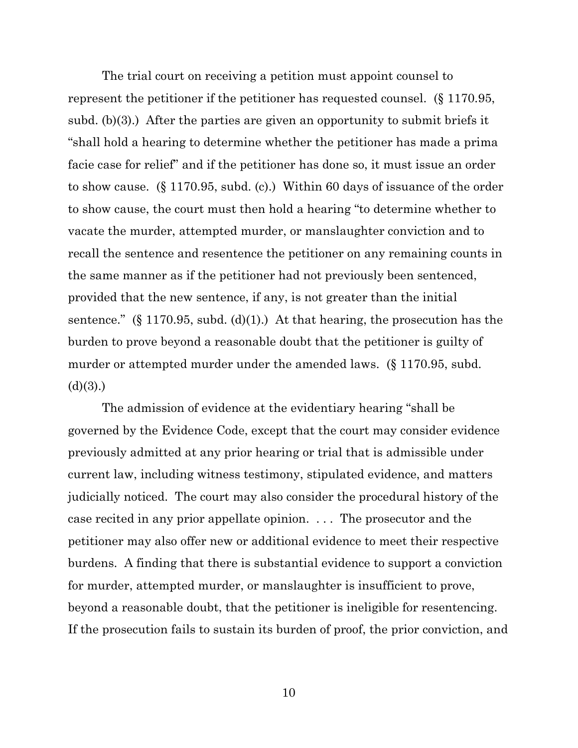The trial court on receiving a petition must appoint counsel to represent the petitioner if the petitioner has requested counsel. (§ 1170.95, subd. (b)(3).) After the parties are given an opportunity to submit briefs it "shall hold a hearing to determine whether the petitioner has made a prima facie case for relief" and if the petitioner has done so, it must issue an order to show cause. (§ 1170.95, subd. (c).) Within 60 days of issuance of the order to show cause, the court must then hold a hearing "to determine whether to vacate the murder, attempted murder, or manslaughter conviction and to recall the sentence and resentence the petitioner on any remaining counts in the same manner as if the petitioner had not previously been sentenced, provided that the new sentence, if any, is not greater than the initial sentence." (§ 1170.95, subd. (d)(1).) At that hearing, the prosecution has the burden to prove beyond a reasonable doubt that the petitioner is guilty of murder or attempted murder under the amended laws. (§ 1170.95, subd.  $(d)(3)$ .)

The admission of evidence at the evidentiary hearing "shall be governed by the Evidence Code, except that the court may consider evidence previously admitted at any prior hearing or trial that is admissible under current law, including witness testimony, stipulated evidence, and matters judicially noticed. The court may also consider the procedural history of the case recited in any prior appellate opinion. . . . The prosecutor and the petitioner may also offer new or additional evidence to meet their respective burdens. A finding that there is substantial evidence to support a conviction for murder, attempted murder, or manslaughter is insufficient to prove, beyond a reasonable doubt, that the petitioner is ineligible for resentencing. If the prosecution fails to sustain its burden of proof, the prior conviction, and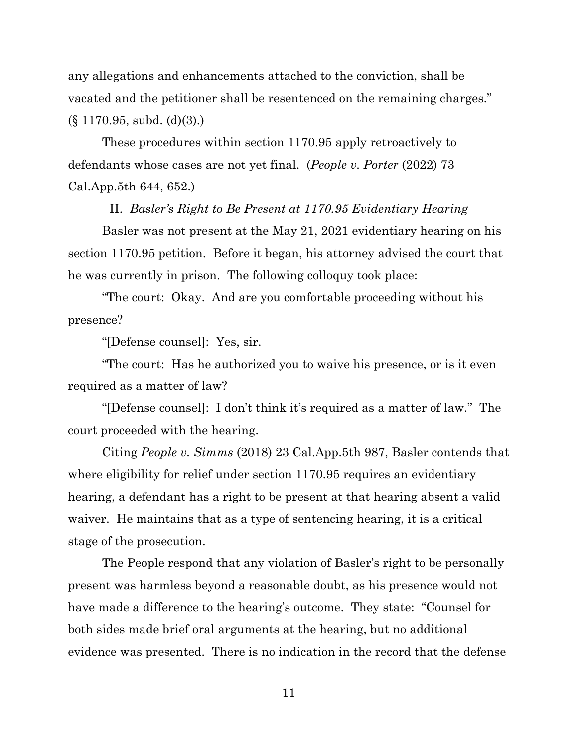any allegations and enhancements attached to the conviction, shall be vacated and the petitioner shall be resentenced on the remaining charges."  $(\S 1170.95, \text{subd. (d)}(3))$ 

These procedures within section 1170.95 apply retroactively to defendants whose cases are not yet final. (*People v. Porter* (2022) 73 Cal.App.5th 644, 652.)

#### II. *Basler's Right to Be Present at 1170.95 Evidentiary Hearing*

Basler was not present at the May 21, 2021 evidentiary hearing on his section 1170.95 petition. Before it began, his attorney advised the court that he was currently in prison. The following colloquy took place:

 "The court: Okay. And are you comfortable proceeding without his presence?

"[Defense counsel]: Yes, sir.

"The court: Has he authorized you to waive his presence, or is it even required as a matter of law?

"[Defense counsel]: I don't think it's required as a matter of law." The court proceeded with the hearing.

Citing *People v. Simms* (2018) 23 Cal.App.5th 987, Basler contends that where eligibility for relief under section 1170.95 requires an evidentiary hearing, a defendant has a right to be present at that hearing absent a valid waiver. He maintains that as a type of sentencing hearing, it is a critical stage of the prosecution.

The People respond that any violation of Basler's right to be personally present was harmless beyond a reasonable doubt, as his presence would not have made a difference to the hearing's outcome. They state: "Counsel for both sides made brief oral arguments at the hearing, but no additional evidence was presented. There is no indication in the record that the defense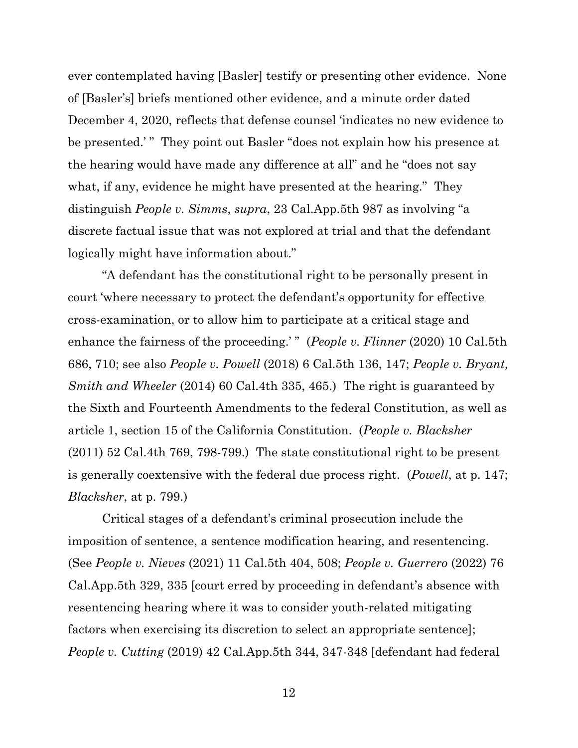ever contemplated having [Basler] testify or presenting other evidence. None of [Basler's] briefs mentioned other evidence, and a minute order dated December 4, 2020, reflects that defense counsel 'indicates no new evidence to be presented.'" They point out Basler "does not explain how his presence at the hearing would have made any difference at all" and he "does not say what, if any, evidence he might have presented at the hearing." They distinguish *People v. Simms*, *supra*, 23 Cal.App.5th 987 as involving "a discrete factual issue that was not explored at trial and that the defendant logically might have information about."

"A defendant has the constitutional right to be personally present in court 'where necessary to protect the defendant's opportunity for effective cross-examination, or to allow him to participate at a critical stage and enhance the fairness of the proceeding.'" (*People v. Flinner* (2020) 10 Cal.5th 686, 710; see also *People v. Powell* (2018) 6 Cal.5th 136, 147; *People v. Bryant, Smith and Wheeler* (2014) 60 Cal.4th 335, 465.) The right is guaranteed by the Sixth and Fourteenth Amendments to the federal Constitution, as well as article 1, section 15 of the California Constitution. (*People v. Blacksher*  (2011) 52 Cal.4th 769, 798-799.) The state constitutional right to be present is generally coextensive with the federal due process right. (*Powell*, at p. 147; *Blacksher*, at p. 799.)

Critical stages of a defendant's criminal prosecution include the imposition of sentence, a sentence modification hearing, and resentencing. (See *People v. Nieves* (2021) 11 Cal.5th 404, 508; *People v. Guerrero* (2022) 76 Cal.App.5th 329, 335 [court erred by proceeding in defendant's absence with resentencing hearing where it was to consider youth-related mitigating factors when exercising its discretion to select an appropriate sentence]; *People v. Cutting* (2019) 42 Cal.App.5th 344, 347-348 [defendant had federal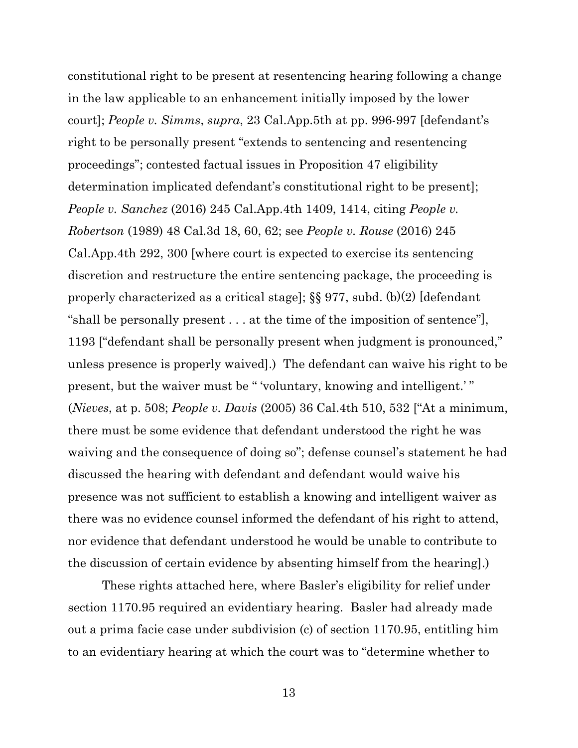constitutional right to be present at resentencing hearing following a change in the law applicable to an enhancement initially imposed by the lower court]; *People v. Simms*, *supra*, 23 Cal.App.5th at pp. 996-997 [defendant's right to be personally present "extends to sentencing and resentencing proceedings"; contested factual issues in Proposition 47 eligibility determination implicated defendant's constitutional right to be present]; *People v. Sanchez* (2016) 245 Cal.App.4th 1409, 1414, citing *People v. Robertson* (1989) 48 Cal.3d 18, 60, 62; see *People v. Rouse* (2016) 245 Cal.App.4th 292, 300 [where court is expected to exercise its sentencing discretion and restructure the entire sentencing package, the proceeding is properly characterized as a critical stage]; §§ 977, subd. (b)(2) [defendant "shall be personally present . . . at the time of the imposition of sentence"], 1193 ["defendant shall be personally present when judgment is pronounced," unless presence is properly waived].) The defendant can waive his right to be present, but the waiver must be " 'voluntary, knowing and intelligent.' " (*Nieves*, at p. 508; *People v. Davis* (2005) 36 Cal.4th 510, 532 ["At a minimum, there must be some evidence that defendant understood the right he was waiving and the consequence of doing so"; defense counsel's statement he had discussed the hearing with defendant and defendant would waive his presence was not sufficient to establish a knowing and intelligent waiver as there was no evidence counsel informed the defendant of his right to attend, nor evidence that defendant understood he would be unable to contribute to the discussion of certain evidence by absenting himself from the hearing].)

These rights attached here, where Basler's eligibility for relief under section 1170.95 required an evidentiary hearing. Basler had already made out a prima facie case under subdivision (c) of section 1170.95, entitling him to an evidentiary hearing at which the court was to "determine whether to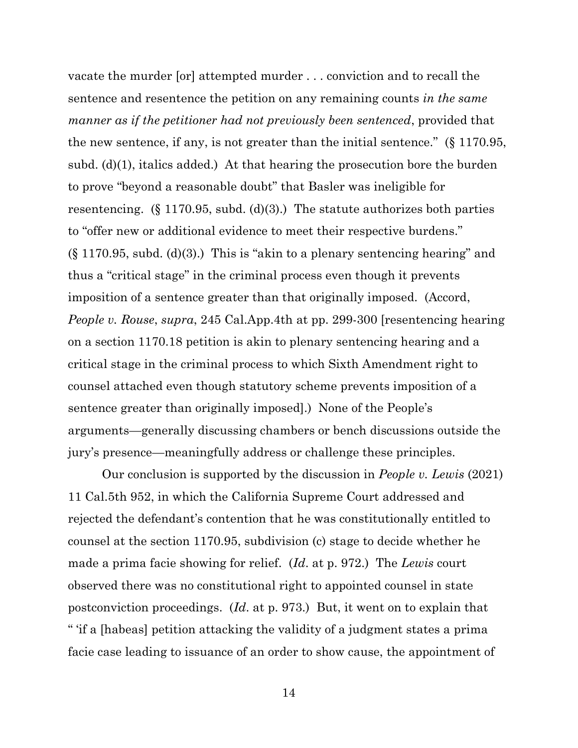vacate the murder [or] attempted murder . . . conviction and to recall the sentence and resentence the petition on any remaining counts *in the same manner as if the petitioner had not previously been sentenced*, provided that the new sentence, if any, is not greater than the initial sentence." (§ 1170.95, subd.  $(d)(1)$ , italics added.) At that hearing the prosecution bore the burden to prove "beyond a reasonable doubt" that Basler was ineligible for resentencing.  $(\S 1170.95, \text{subd}, (\text{d})(3))$ . The statute authorizes both parties to "offer new or additional evidence to meet their respective burdens."  $(\S 1170.95, \text{subd. (d)}(3))$  This is "akin to a plenary sentencing hearing" and thus a "critical stage" in the criminal process even though it prevents imposition of a sentence greater than that originally imposed. (Accord, *People v. Rouse*, *supra*, 245 Cal.App.4th at pp. 299-300 [resentencing hearing on a section 1170.18 petition is akin to plenary sentencing hearing and a critical stage in the criminal process to which Sixth Amendment right to counsel attached even though statutory scheme prevents imposition of a sentence greater than originally imposed].) None of the People's arguments—generally discussing chambers or bench discussions outside the jury's presence—meaningfully address or challenge these principles.

Our conclusion is supported by the discussion in *People v. Lewis* (2021) 11 Cal.5th 952, in which the California Supreme Court addressed and rejected the defendant's contention that he was constitutionally entitled to counsel at the section 1170.95, subdivision (c) stage to decide whether he made a prima facie showing for relief. (*Id*. at p. 972.) The *Lewis* court observed there was no constitutional right to appointed counsel in state postconviction proceedings. (*Id*. at p. 973.) But, it went on to explain that " 'if a [habeas] petition attacking the validity of a judgment states a prima facie case leading to issuance of an order to show cause, the appointment of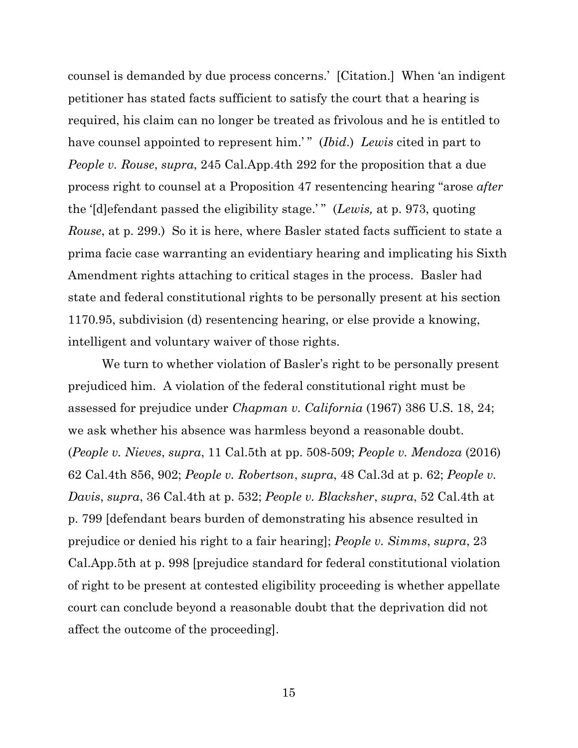counsel is demanded by due process concerns.' [Citation.] When 'an indigent petitioner has stated facts sufficient to satisfy the court that a hearing is required, his claim can no longer be treated as frivolous and he is entitled to have counsel appointed to represent him.'" (*Ibid.*) *Lewis* cited in part to *People v. Rouse*, *supra*, 245 Cal.App.4th 292 for the proposition that a due process right to counsel at a Proposition 47 resentencing hearing "arose *after*  the '[d]efendant passed the eligibility stage.' " (*Lewis,* at p. 973, quoting *Rouse*, at p. 299.) So it is here, where Basler stated facts sufficient to state a prima facie case warranting an evidentiary hearing and implicating his Sixth Amendment rights attaching to critical stages in the process. Basler had state and federal constitutional rights to be personally present at his section 1170.95, subdivision (d) resentencing hearing, or else provide a knowing, intelligent and voluntary waiver of those rights.

We turn to whether violation of Basler's right to be personally present prejudiced him. A violation of the federal constitutional right must be assessed for prejudice under *Chapman v. California* (1967) 386 U.S. 18, 24; we ask whether his absence was harmless beyond a reasonable doubt. (*People v. Nieves*, *supra*, 11 Cal.5th at pp. 508-509; *People v. Mendoza* (2016) 62 Cal.4th 856, 902; *People v. Robertson*, *supra*, 48 Cal.3d at p. 62; *People v. Davis*, *supra*, 36 Cal.4th at p. 532; *People v. Blacksher*, *supra*, 52 Cal.4th at p. 799 [defendant bears burden of demonstrating his absence resulted in prejudice or denied his right to a fair hearing]; *People v. Simms*, *supra*, 23 Cal.App.5th at p. 998 [prejudice standard for federal constitutional violation of right to be present at contested eligibility proceeding is whether appellate court can conclude beyond a reasonable doubt that the deprivation did not affect the outcome of the proceeding].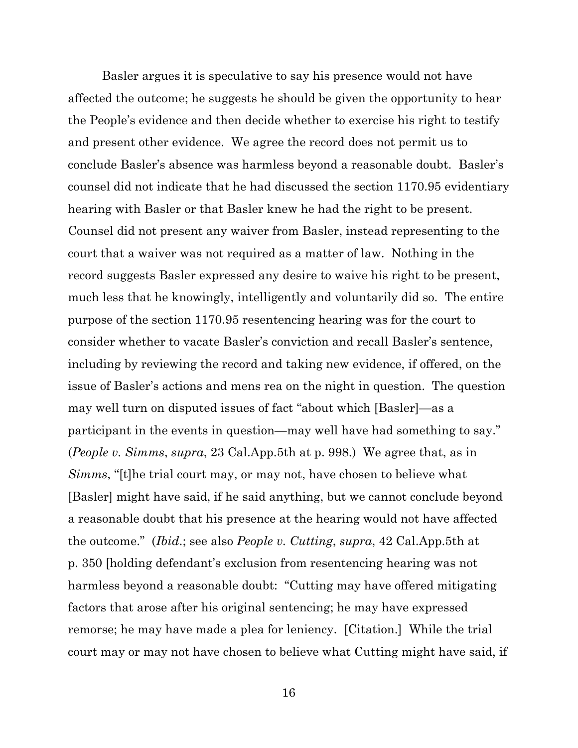Basler argues it is speculative to say his presence would not have affected the outcome; he suggests he should be given the opportunity to hear the People's evidence and then decide whether to exercise his right to testify and present other evidence. We agree the record does not permit us to conclude Basler's absence was harmless beyond a reasonable doubt. Basler's counsel did not indicate that he had discussed the section 1170.95 evidentiary hearing with Basler or that Basler knew he had the right to be present. Counsel did not present any waiver from Basler, instead representing to the court that a waiver was not required as a matter of law. Nothing in the record suggests Basler expressed any desire to waive his right to be present, much less that he knowingly, intelligently and voluntarily did so. The entire purpose of the section 1170.95 resentencing hearing was for the court to consider whether to vacate Basler's conviction and recall Basler's sentence, including by reviewing the record and taking new evidence, if offered, on the issue of Basler's actions and mens rea on the night in question. The question may well turn on disputed issues of fact "about which [Basler]—as a participant in the events in question—may well have had something to say." (*People v. Simms*, *supra*, 23 Cal.App.5th at p. 998.) We agree that, as in *Simms*, "[t]he trial court may, or may not, have chosen to believe what [Basler] might have said, if he said anything, but we cannot conclude beyond a reasonable doubt that his presence at the hearing would not have affected the outcome." (*Ibid*.; see also *People v. Cutting*, *supra*, 42 Cal.App.5th at p. 350 [holding defendant's exclusion from resentencing hearing was not harmless beyond a reasonable doubt: "Cutting may have offered mitigating factors that arose after his original sentencing; he may have expressed remorse; he may have made a plea for leniency. [Citation.] While the trial court may or may not have chosen to believe what Cutting might have said, if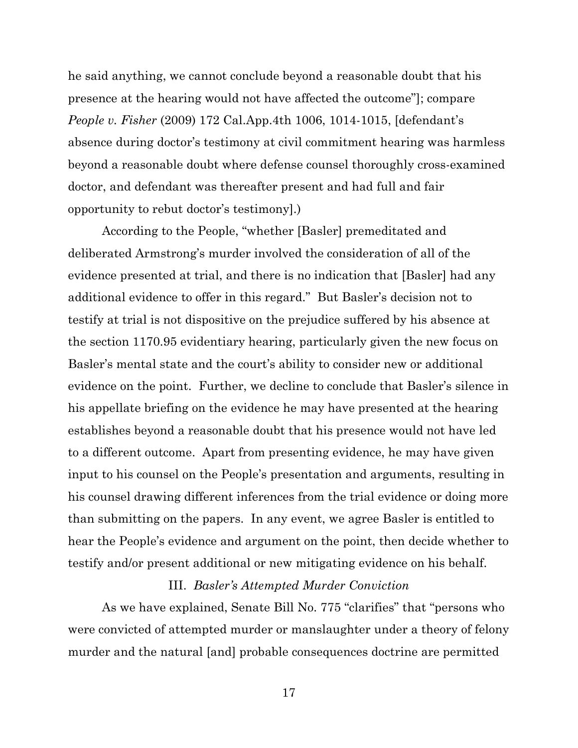he said anything, we cannot conclude beyond a reasonable doubt that his presence at the hearing would not have affected the outcome"]; compare *People v. Fisher* (2009) 172 Cal.App.4th 1006, 1014-1015, [defendant's absence during doctor's testimony at civil commitment hearing was harmless beyond a reasonable doubt where defense counsel thoroughly cross-examined doctor, and defendant was thereafter present and had full and fair opportunity to rebut doctor's testimony].)

According to the People, "whether [Basler] premeditated and deliberated Armstrong's murder involved the consideration of all of the evidence presented at trial, and there is no indication that [Basler] had any additional evidence to offer in this regard." But Basler's decision not to testify at trial is not dispositive on the prejudice suffered by his absence at the section 1170.95 evidentiary hearing, particularly given the new focus on Basler's mental state and the court's ability to consider new or additional evidence on the point. Further, we decline to conclude that Basler's silence in his appellate briefing on the evidence he may have presented at the hearing establishes beyond a reasonable doubt that his presence would not have led to a different outcome. Apart from presenting evidence, he may have given input to his counsel on the People's presentation and arguments, resulting in his counsel drawing different inferences from the trial evidence or doing more than submitting on the papers. In any event, we agree Basler is entitled to hear the People's evidence and argument on the point, then decide whether to testify and/or present additional or new mitigating evidence on his behalf.

#### III. *Basler's Attempted Murder Conviction*

As we have explained, Senate Bill No. 775 "clarifies" that "persons who were convicted of attempted murder or manslaughter under a theory of felony murder and the natural [and] probable consequences doctrine are permitted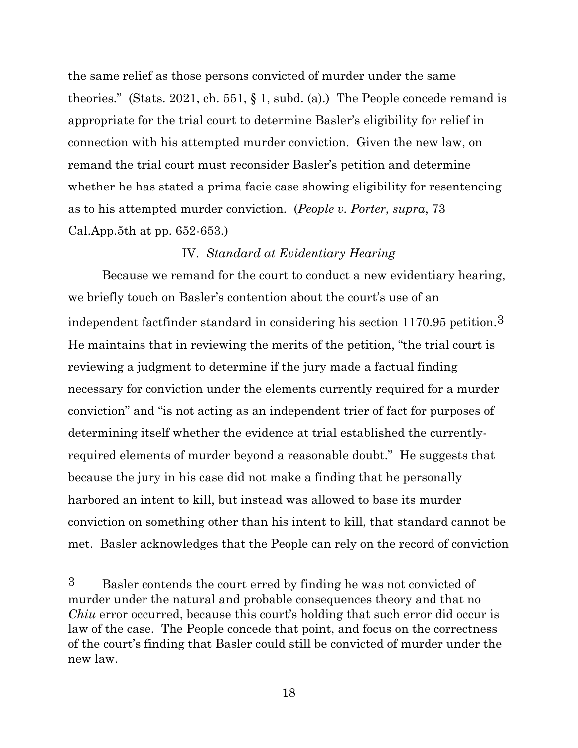the same relief as those persons convicted of murder under the same theories." (Stats. 2021, ch. 551, § 1, subd. (a).) The People concede remand is appropriate for the trial court to determine Basler's eligibility for relief in connection with his attempted murder conviction. Given the new law, on remand the trial court must reconsider Basler's petition and determine whether he has stated a prima facie case showing eligibility for resentencing as to his attempted murder conviction. (*People v. Porter*, *supra*, 73 Cal.App.5th at pp. 652-653.)

#### IV. *Standard at Evidentiary Hearing*

Because we remand for the court to conduct a new evidentiary hearing, we briefly touch on Basler's contention about the court's use of an independent factfinder standard in considering his section 1170.95 petition.3 He maintains that in reviewing the merits of the petition, "the trial court is reviewing a judgment to determine if the jury made a factual finding necessary for conviction under the elements currently required for a murder conviction" and "is not acting as an independent trier of fact for purposes of determining itself whether the evidence at trial established the currentlyrequired elements of murder beyond a reasonable doubt." He suggests that because the jury in his case did not make a finding that he personally harbored an intent to kill, but instead was allowed to base its murder conviction on something other than his intent to kill, that standard cannot be met. Basler acknowledges that the People can rely on the record of conviction

<sup>3</sup> Basler contends the court erred by finding he was not convicted of murder under the natural and probable consequences theory and that no *Chiu* error occurred, because this court's holding that such error did occur is law of the case. The People concede that point, and focus on the correctness of the court's finding that Basler could still be convicted of murder under the new law.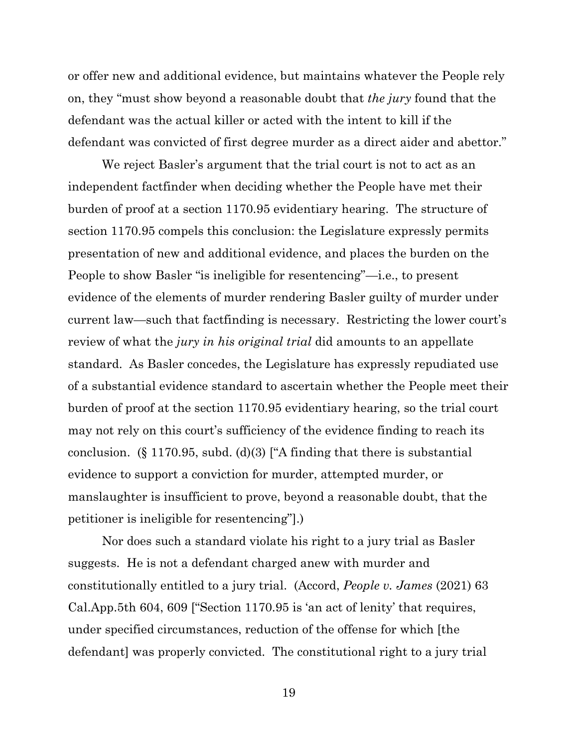or offer new and additional evidence, but maintains whatever the People rely on, they "must show beyond a reasonable doubt that *the jury* found that the defendant was the actual killer or acted with the intent to kill if the defendant was convicted of first degree murder as a direct aider and abettor."

We reject Basler's argument that the trial court is not to act as an independent factfinder when deciding whether the People have met their burden of proof at a section 1170.95 evidentiary hearing. The structure of section 1170.95 compels this conclusion: the Legislature expressly permits presentation of new and additional evidence, and places the burden on the People to show Basler "is ineligible for resentencing"—i.e., to present evidence of the elements of murder rendering Basler guilty of murder under current law—such that factfinding is necessary. Restricting the lower court's review of what the *jury in his original trial* did amounts to an appellate standard. As Basler concedes, the Legislature has expressly repudiated use of a substantial evidence standard to ascertain whether the People meet their burden of proof at the section 1170.95 evidentiary hearing, so the trial court may not rely on this court's sufficiency of the evidence finding to reach its conclusion. (§ 1170.95, subd.  $(d)(3)$  ["A finding that there is substantial evidence to support a conviction for murder, attempted murder, or manslaughter is insufficient to prove, beyond a reasonable doubt, that the petitioner is ineligible for resentencing"].)

Nor does such a standard violate his right to a jury trial as Basler suggests. He is not a defendant charged anew with murder and constitutionally entitled to a jury trial. (Accord, *People v. James* (2021) 63 Cal.App.5th 604, 609 ["Section 1170.95 is 'an act of lenity' that requires, under specified circumstances, reduction of the offense for which [the defendant] was properly convicted. The constitutional right to a jury trial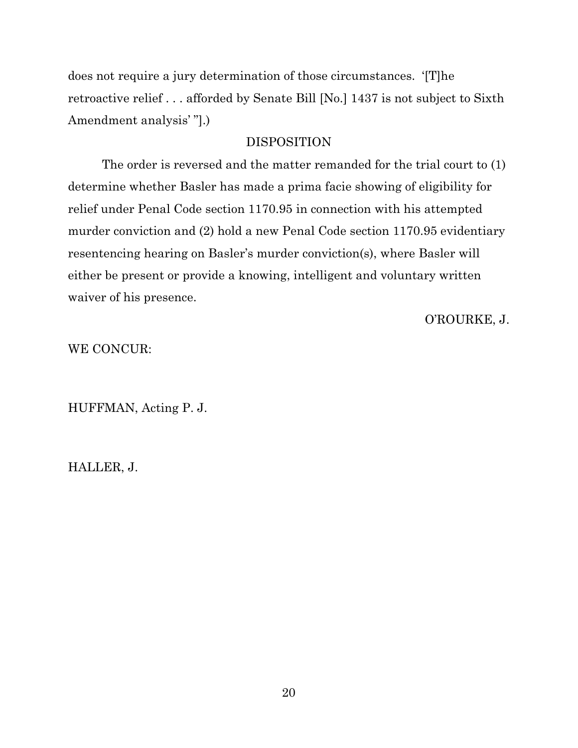does not require a jury determination of those circumstances. '[T]he retroactive relief . . . afforded by Senate Bill [No.] 1437 is not subject to Sixth Amendment analysis' "].)

### DISPOSITION

The order is reversed and the matter remanded for the trial court to (1) determine whether Basler has made a prima facie showing of eligibility for relief under Penal Code section 1170.95 in connection with his attempted murder conviction and (2) hold a new Penal Code section 1170.95 evidentiary resentencing hearing on Basler's murder conviction(s), where Basler will either be present or provide a knowing, intelligent and voluntary written waiver of his presence.

O'ROURKE, J.

WE CONCUR:

HUFFMAN, Acting P. J.

HALLER, J.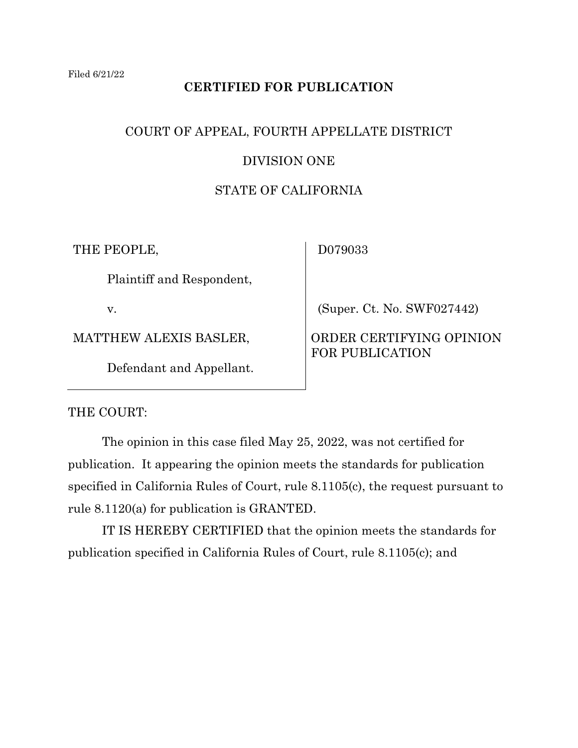## **CERTIFIED FOR PUBLICATION**

# COURT OF APPEAL, FOURTH APPELLATE DISTRICT DIVISION ONE

## STATE OF CALIFORNIA

THE PEOPLE,

Plaintiff and Respondent,

v.

MATTHEW ALEXIS BASLER,

Defendant and Appellant.

D079033

(Super. Ct. No. SWF027442)

# ORDER CERTIFYING OPINION FOR PUBLICATION

#### THE COURT:

The opinion in this case filed May 25, 2022, was not certified for publication. It appearing the opinion meets the standards for publication specified in California Rules of Court, rule 8.1105(c), the request pursuant to rule 8.1120(a) for publication is GRANTED.

IT IS HEREBY CERTIFIED that the opinion meets the standards for publication specified in California Rules of Court, rule 8.1105(c); and